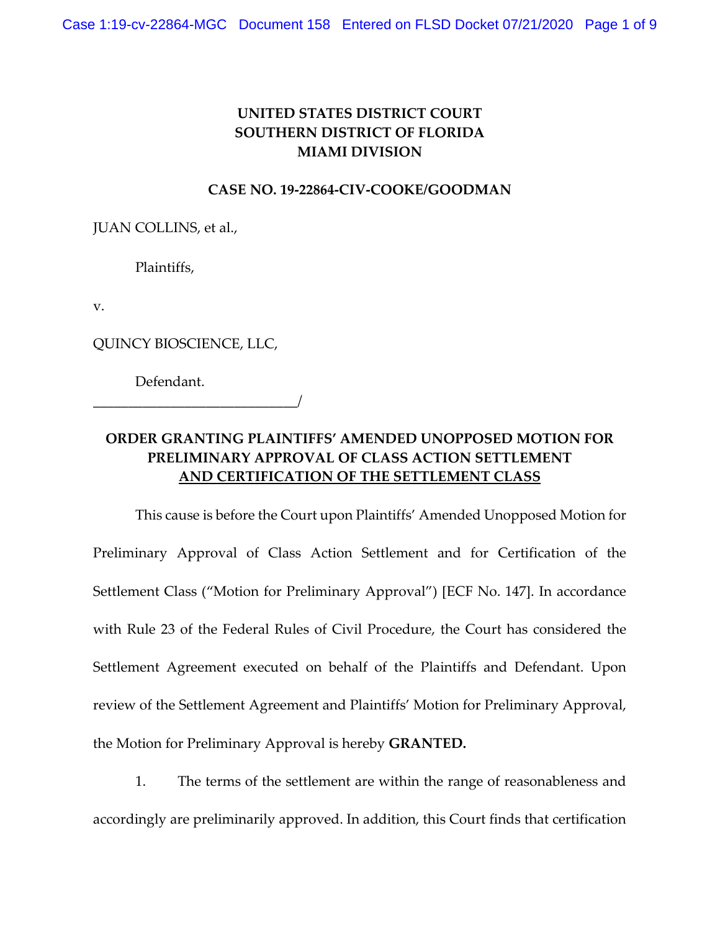## **UNITED STATES DISTRICT COURT SOUTHERN DISTRICT OF FLORIDA MIAMI DIVISION**

## **CASE NO. 19-22864-CIV-COOKE/GOODMAN**

JUAN COLLINS, et al.,

Plaintiffs,

v.

QUINCY BIOSCIENCE, LLC,

Defendant.

\_\_\_\_\_\_\_\_\_\_\_\_\_\_\_\_\_\_\_\_\_\_\_\_\_\_\_\_\_/

## **ORDER GRANTING PLAINTIFFS' AMENDED UNOPPOSED MOTION FOR PRELIMINARY APPROVAL OF CLASS ACTION SETTLEMENT AND CERTIFICATION OF THE SETTLEMENT CLASS**

This cause is before the Court upon Plaintiffs' Amended Unopposed Motion for Preliminary Approval of Class Action Settlement and for Certification of the Settlement Class ("Motion for Preliminary Approval") [ECF No. 147]. In accordance with Rule 23 of the Federal Rules of Civil Procedure, the Court has considered the Settlement Agreement executed on behalf of the Plaintiffs and Defendant. Upon review of the Settlement Agreement and Plaintiffs' Motion for Preliminary Approval, the Motion for Preliminary Approval is hereby **GRANTED.** 

1. The terms of the settlement are within the range of reasonableness and accordingly are preliminarily approved. In addition, this Court finds that certification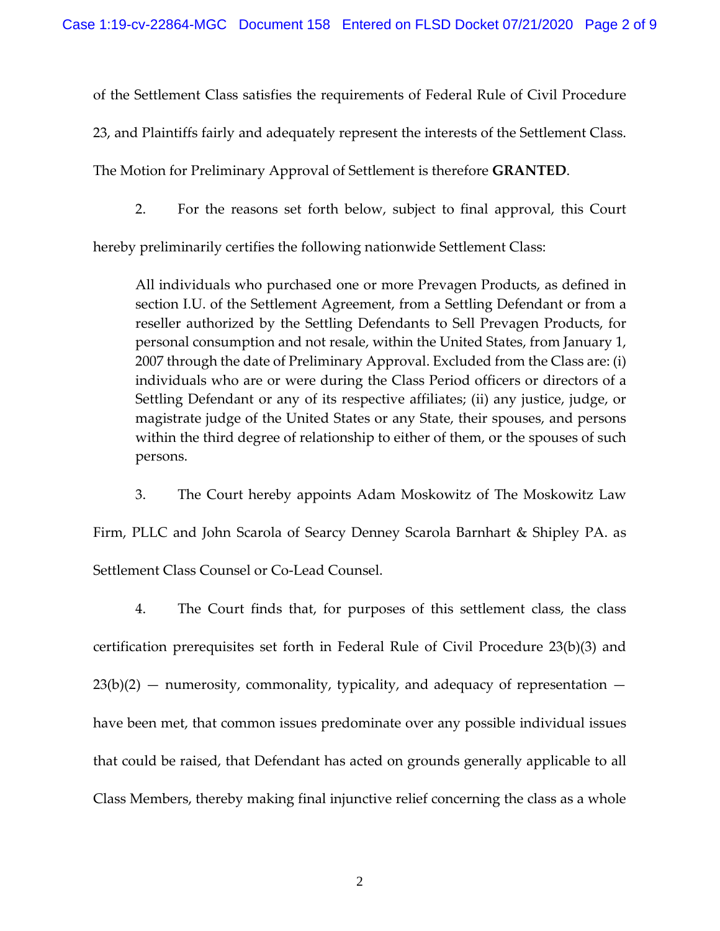of the Settlement Class satisfies the requirements of Federal Rule of Civil Procedure

23, and Plaintiffs fairly and adequately represent the interests of the Settlement Class.

The Motion for Preliminary Approval of Settlement is therefore **GRANTED**.

2. For the reasons set forth below, subject to final approval, this Court

hereby preliminarily certifies the following nationwide Settlement Class:

All individuals who purchased one or more Prevagen Products, as defined in section I.U. of the Settlement Agreement, from a Settling Defendant or from a reseller authorized by the Settling Defendants to Sell Prevagen Products, for personal consumption and not resale, within the United States, from January 1, 2007 through the date of Preliminary Approval. Excluded from the Class are: (i) individuals who are or were during the Class Period officers or directors of a Settling Defendant or any of its respective affiliates; (ii) any justice, judge, or magistrate judge of the United States or any State, their spouses, and persons within the third degree of relationship to either of them, or the spouses of such persons.

3. The Court hereby appoints Adam Moskowitz of The Moskowitz Law Firm, PLLC and John Scarola of Searcy Denney Scarola Barnhart & Shipley PA. as

Settlement Class Counsel or Co-Lead Counsel.

4. The Court finds that, for purposes of this settlement class, the class certification prerequisites set forth in Federal Rule of Civil Procedure 23(b)(3) and  $23(b)(2)$  — numerosity, commonality, typicality, and adequacy of representation have been met, that common issues predominate over any possible individual issues that could be raised, that Defendant has acted on grounds generally applicable to all Class Members, thereby making final injunctive relief concerning the class as a whole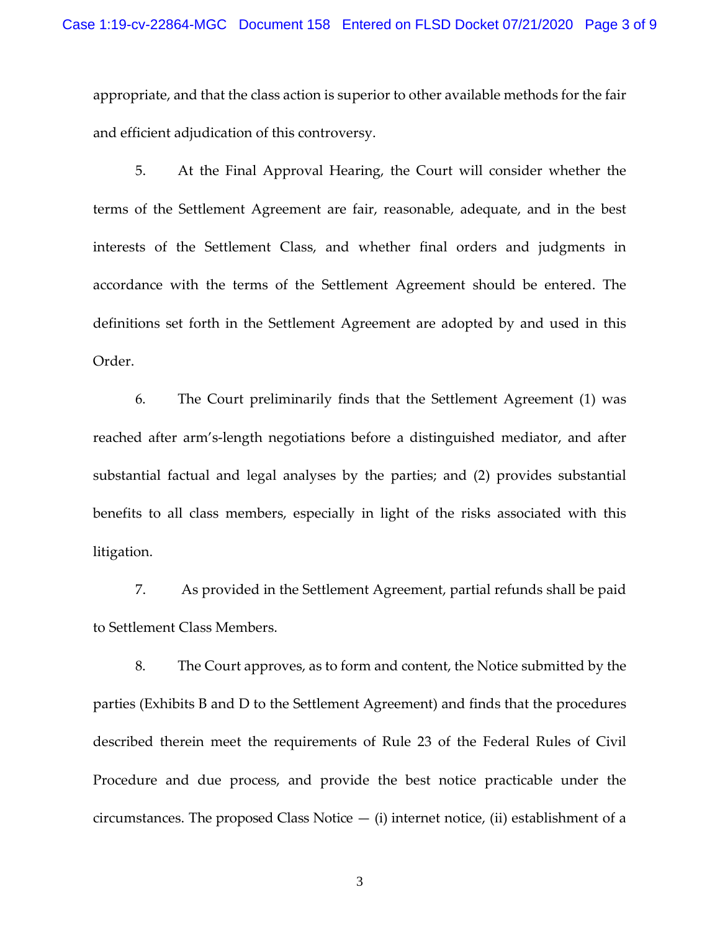appropriate, and that the class action is superior to other available methods for the fair and efficient adjudication of this controversy.

5. At the Final Approval Hearing, the Court will consider whether the terms of the Settlement Agreement are fair, reasonable, adequate, and in the best interests of the Settlement Class, and whether final orders and judgments in accordance with the terms of the Settlement Agreement should be entered. The definitions set forth in the Settlement Agreement are adopted by and used in this Order.

6. The Court preliminarily finds that the Settlement Agreement (1) was reached after arm's-length negotiations before a distinguished mediator, and after substantial factual and legal analyses by the parties; and (2) provides substantial benefits to all class members, especially in light of the risks associated with this litigation.

7. As provided in the Settlement Agreement, partial refunds shall be paid to Settlement Class Members.

8. The Court approves, as to form and content, the Notice submitted by the parties (Exhibits B and D to the Settlement Agreement) and finds that the procedures described therein meet the requirements of Rule 23 of the Federal Rules of Civil Procedure and due process, and provide the best notice practicable under the circumstances. The proposed Class Notice  $-$  (i) internet notice, (ii) establishment of a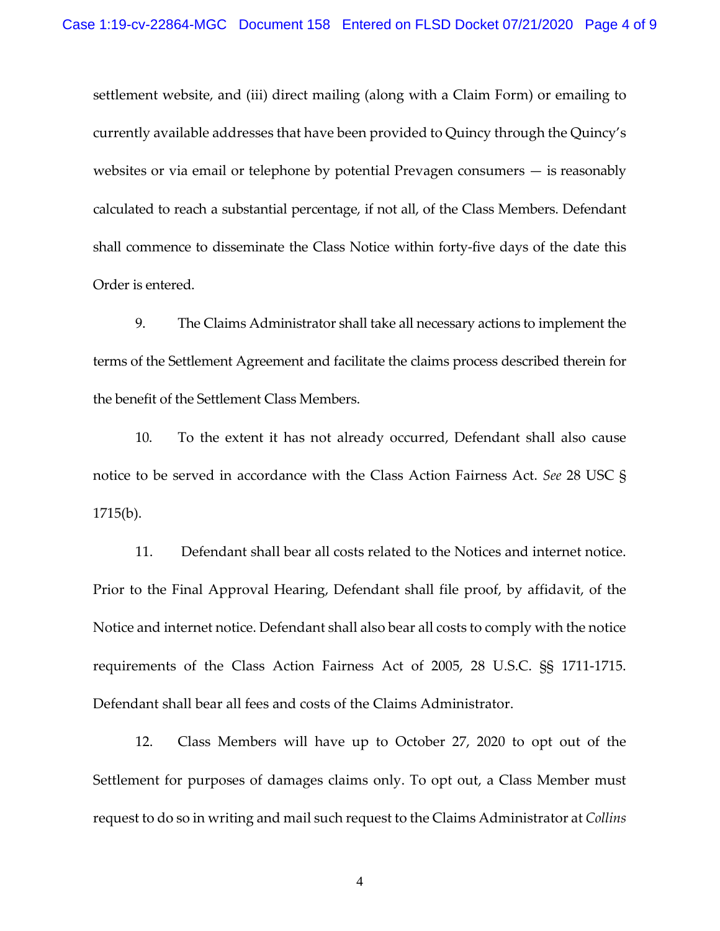settlement website, and (iii) direct mailing (along with a Claim Form) or emailing to currently available addresses that have been provided to Quincy through the Quincy's websites or via email or telephone by potential Prevagen consumers — is reasonably calculated to reach a substantial percentage, if not all, of the Class Members. Defendant shall commence to disseminate the Class Notice within forty-five days of the date this Order is entered.

9. The Claims Administrator shall take all necessary actions to implement the terms of the Settlement Agreement and facilitate the claims process described therein for the benefit of the Settlement Class Members.

10. To the extent it has not already occurred, Defendant shall also cause notice to be served in accordance with the Class Action Fairness Act. *See* 28 USC § 1715(b).

11. Defendant shall bear all costs related to the Notices and internet notice. Prior to the Final Approval Hearing, Defendant shall file proof, by affidavit, of the Notice and internet notice. Defendant shall also bear all costs to comply with the notice requirements of the Class Action Fairness Act of 2005, 28 U.S.C. §§ 1711-1715. Defendant shall bear all fees and costs of the Claims Administrator.

12. Class Members will have up to October 27, 2020 to opt out of the Settlement for purposes of damages claims only. To opt out, a Class Member must request to do so in writing and mail such request to the Claims Administrator at *Collins*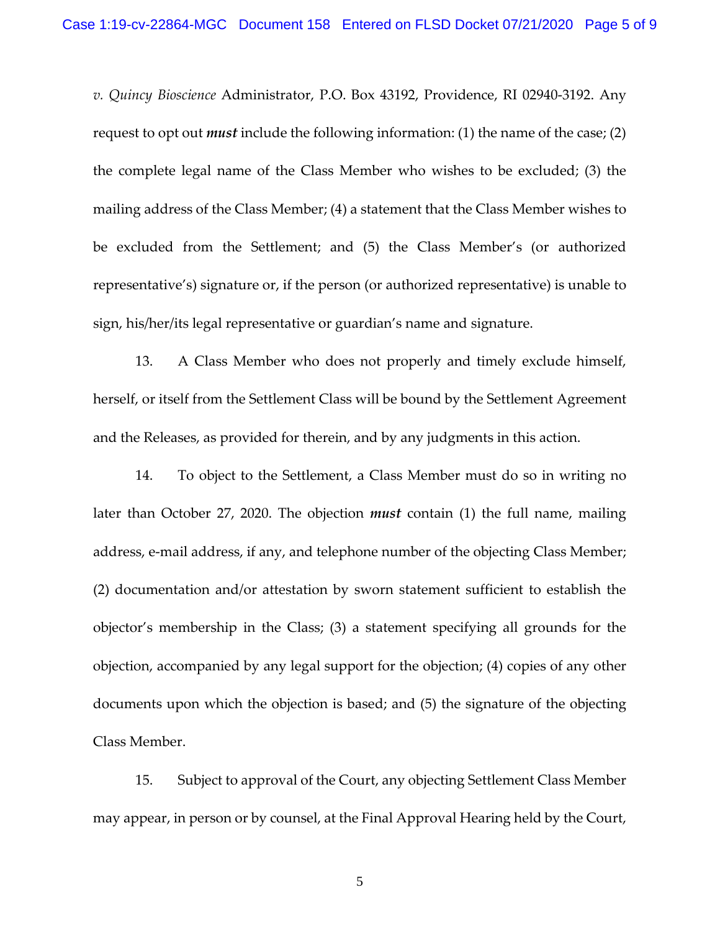*v. Quincy Bioscience* Administrator, P.O. Box 43192, Providence, RI 02940-3192. Any request to opt out *must* include the following information: (1) the name of the case; (2) the complete legal name of the Class Member who wishes to be excluded; (3) the mailing address of the Class Member; (4) a statement that the Class Member wishes to be excluded from the Settlement; and (5) the Class Member's (or authorized representative's) signature or, if the person (or authorized representative) is unable to sign, his/her/its legal representative or guardian's name and signature.

13. A Class Member who does not properly and timely exclude himself, herself, or itself from the Settlement Class will be bound by the Settlement Agreement and the Releases, as provided for therein, and by any judgments in this action.

14. To object to the Settlement, a Class Member must do so in writing no later than October 27, 2020. The objection *must* contain (1) the full name, mailing address, e-mail address, if any, and telephone number of the objecting Class Member; (2) documentation and/or attestation by sworn statement sufficient to establish the objector's membership in the Class; (3) a statement specifying all grounds for the objection, accompanied by any legal support for the objection; (4) copies of any other documents upon which the objection is based; and (5) the signature of the objecting Class Member.

15. Subject to approval of the Court, any objecting Settlement Class Member may appear, in person or by counsel, at the Final Approval Hearing held by the Court,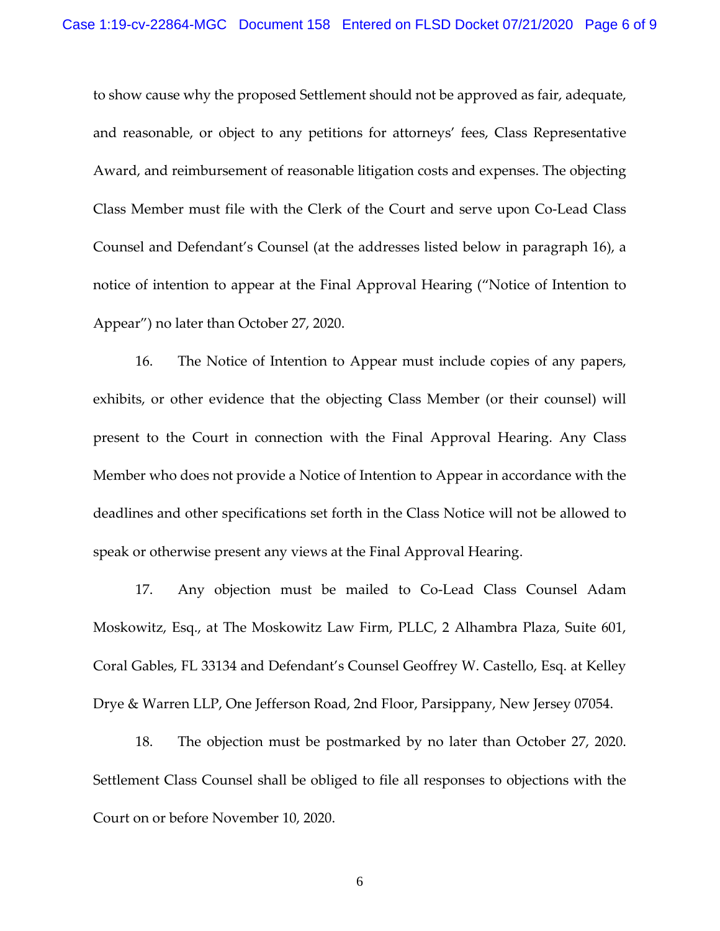to show cause why the proposed Settlement should not be approved as fair, adequate, and reasonable, or object to any petitions for attorneys' fees, Class Representative Award, and reimbursement of reasonable litigation costs and expenses. The objecting Class Member must file with the Clerk of the Court and serve upon Co-Lead Class Counsel and Defendant's Counsel (at the addresses listed below in paragraph 16), a notice of intention to appear at the Final Approval Hearing ("Notice of Intention to Appear") no later than October 27, 2020.

16. The Notice of Intention to Appear must include copies of any papers, exhibits, or other evidence that the objecting Class Member (or their counsel) will present to the Court in connection with the Final Approval Hearing. Any Class Member who does not provide a Notice of Intention to Appear in accordance with the deadlines and other specifications set forth in the Class Notice will not be allowed to speak or otherwise present any views at the Final Approval Hearing.

17. Any objection must be mailed to Co-Lead Class Counsel Adam Moskowitz, Esq., at The Moskowitz Law Firm, PLLC, 2 Alhambra Plaza, Suite 601, Coral Gables, FL 33134 and Defendant's Counsel Geoffrey W. Castello, Esq. at Kelley Drye & Warren LLP, One Jefferson Road, 2nd Floor, Parsippany, New Jersey 07054.

18. The objection must be postmarked by no later than October 27, 2020. Settlement Class Counsel shall be obliged to file all responses to objections with the Court on or before November 10, 2020.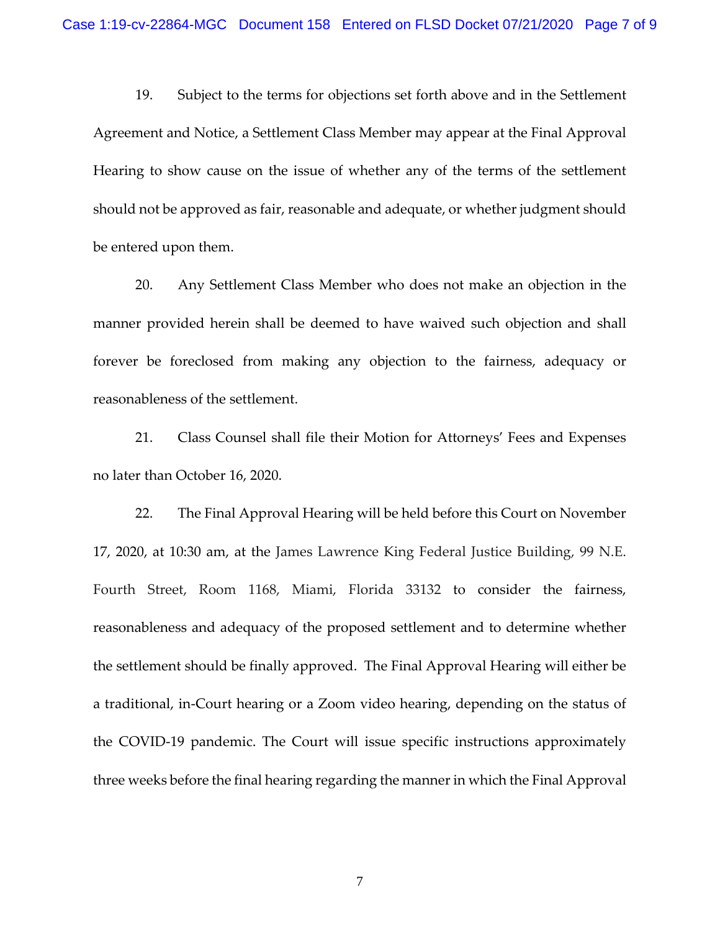19. Subject to the terms for objections set forth above and in the Settlement Agreement and Notice, a Settlement Class Member may appear at the Final Approval Hearing to show cause on the issue of whether any of the terms of the settlement should not be approved as fair, reasonable and adequate, or whether judgment should be entered upon them.

20. Any Settlement Class Member who does not make an objection in the manner provided herein shall be deemed to have waived such objection and shall forever be foreclosed from making any objection to the fairness, adequacy or reasonableness of the settlement.

21. Class Counsel shall file their Motion for Attorneys' Fees and Expenses no later than October 16, 2020.

22. The Final Approval Hearing will be held before this Court on November 17, 2020, at 10:30 am, at the James Lawrence King Federal Justice Building, 99 N.E. Fourth Street, Room 1168, Miami, Florida 33132 to consider the fairness, reasonableness and adequacy of the proposed settlement and to determine whether the settlement should be finally approved. The Final Approval Hearing will either be a traditional, in-Court hearing or a Zoom video hearing, depending on the status of the COVID-19 pandemic. The Court will issue specific instructions approximately three weeks before the final hearing regarding the manner in which the Final Approval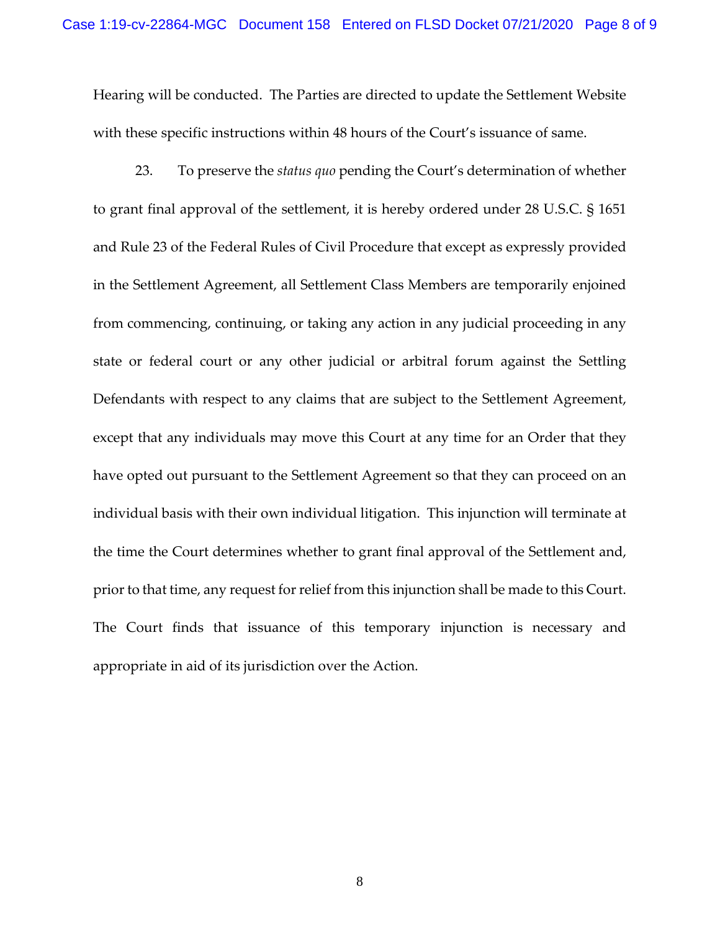Hearing will be conducted. The Parties are directed to update the Settlement Website with these specific instructions within 48 hours of the Court's issuance of same.

23. To preserve the *status quo* pending the Court's determination of whether to grant final approval of the settlement, it is hereby ordered under 28 U.S.C. § 1651 and Rule 23 of the Federal Rules of Civil Procedure that except as expressly provided in the Settlement Agreement, all Settlement Class Members are temporarily enjoined from commencing, continuing, or taking any action in any judicial proceeding in any state or federal court or any other judicial or arbitral forum against the Settling Defendants with respect to any claims that are subject to the Settlement Agreement, except that any individuals may move this Court at any time for an Order that they have opted out pursuant to the Settlement Agreement so that they can proceed on an individual basis with their own individual litigation. This injunction will terminate at the time the Court determines whether to grant final approval of the Settlement and, prior to that time, any request for relief from this injunction shall be made to this Court. The Court finds that issuance of this temporary injunction is necessary and appropriate in aid of its jurisdiction over the Action.